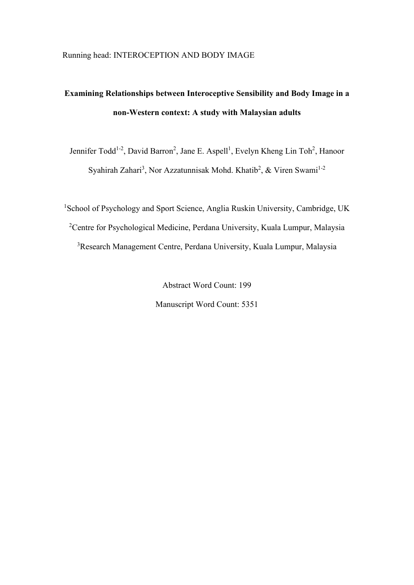# **Examining Relationships between Interoceptive Sensibility and Body Image in a non-Western context: A study with Malaysian adults**

Jennifer Todd<sup>1-2</sup>, David Barron<sup>2</sup>, Jane E. Aspell<sup>1</sup>, Evelyn Kheng Lin Toh<sup>2</sup>, Hanoor Syahirah Zahari<sup>3</sup>, Nor Azzatunnisak Mohd. Khatib<sup>2</sup>, & Viren Swami<sup>1-2</sup>

<sup>1</sup>School of Psychology and Sport Science, Anglia Ruskin University, Cambridge, UK <sup>2</sup>Centre for Psychological Medicine, Perdana University, Kuala Lumpur, Malaysia <sup>3</sup>Research Management Centre, Perdana University, Kuala Lumpur, Malaysia

> Abstract Word Count: 199 Manuscript Word Count: 5351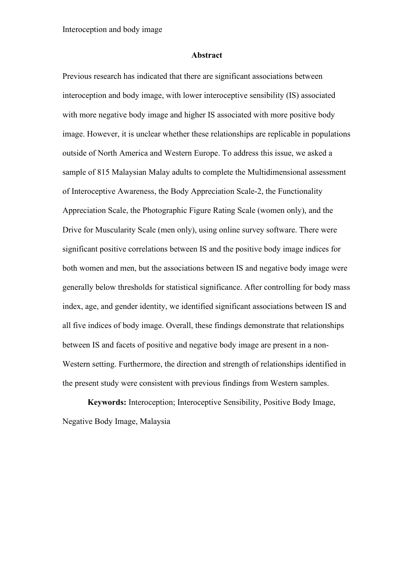#### **Abstract**

Previous research has indicated that there are significant associations between interoception and body image, with lower interoceptive sensibility (IS) associated with more negative body image and higher IS associated with more positive body image. However, it is unclear whether these relationships are replicable in populations outside of North America and Western Europe. To address this issue, we asked a sample of 815 Malaysian Malay adults to complete the Multidimensional assessment of Interoceptive Awareness, the Body Appreciation Scale-2, the Functionality Appreciation Scale, the Photographic Figure Rating Scale (women only), and the Drive for Muscularity Scale (men only), using online survey software. There were significant positive correlations between IS and the positive body image indices for both women and men, but the associations between IS and negative body image were generally below thresholds for statistical significance. After controlling for body mass index, age, and gender identity, we identified significant associations between IS and all five indices of body image. Overall, these findings demonstrate that relationships between IS and facets of positive and negative body image are present in a non-Western setting. Furthermore, the direction and strength of relationships identified in the present study were consistent with previous findings from Western samples.

**Keywords:** Interoception; Interoceptive Sensibility, Positive Body Image, Negative Body Image, Malaysia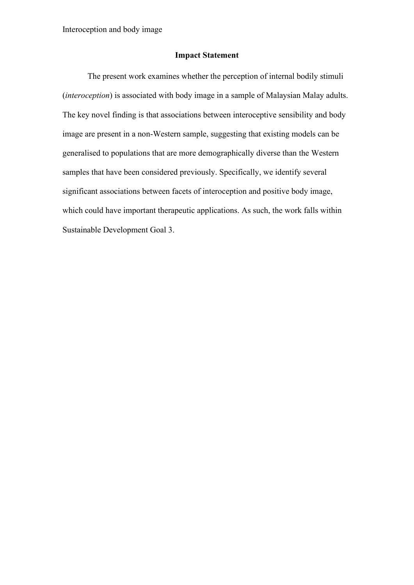Interoception and body image

#### **Impact Statement**

The present work examines whether the perception of internal bodily stimuli (*interoception*) is associated with body image in a sample of Malaysian Malay adults. The key novel finding is that associations between interoceptive sensibility and body image are present in a non-Western sample, suggesting that existing models can be generalised to populations that are more demographically diverse than the Western samples that have been considered previously. Specifically, we identify several significant associations between facets of interoception and positive body image, which could have important therapeutic applications. As such, the work falls within Sustainable Development Goal 3.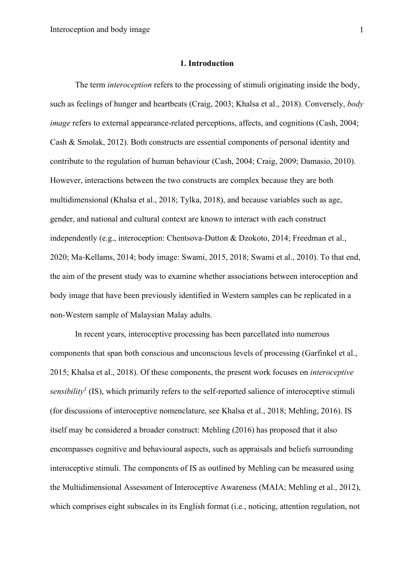#### **1. Introduction**

The term *interoception* refers to the processing of stimuli originating inside the body, such as feelings of hunger and heartbeats (Craig, 2003; Khalsa et al., 2018). Conversely, *body image* refers to external appearance-related perceptions, affects, and cognitions (Cash, 2004; Cash & Smolak, 2012). Both constructs are essential components of personal identity and contribute to the regulation of human behaviour (Cash, 2004; Craig, 2009; Damasio, 2010). However, interactions between the two constructs are complex because they are both multidimensional (Khalsa et al., 2018; Tylka, 2018), and because variables such as age, gender, and national and cultural context are known to interact with each construct independently (e.g., interoception: Chentsova-Dutton & Dzokoto, 2014; Freedman et al., 2020; Ma-Kellams, 2014; body image: Swami, 2015, 2018; Swami et al., 2010). To that end, the aim of the present study was to examine whether associations between interoception and body image that have been previously identified in Western samples can be replicated in a non-Western sample of Malaysian Malay adults.

In recent years, interoceptive processing has been parcellated into numerous components that span both conscious and unconscious levels of processing (Garfinkel et al., 2015; Khalsa et al., 2018). Of these components, the present work focuses on *interoceptive sensibility<sup>1</sup>* (IS), which primarily refers to the self-reported salience of interoceptive stimuli (for discussions of interoceptive nomenclature, see Khalsa et al., 2018; Mehling, 2016). IS itself may be considered a broader construct: Mehling (2016) has proposed that it also encompasses cognitive and behavioural aspects, such as appraisals and beliefs surrounding interoceptive stimuli. The components of IS as outlined by Mehling can be measured using the Multidimensional Assessment of Interoceptive Awareness (MAIA; Mehling et al., 2012), which comprises eight subscales in its English format *(i.e., noticing, attention regulation, not*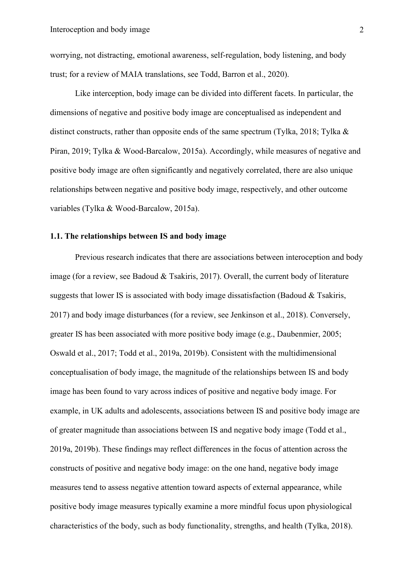worrying, not distracting, emotional awareness, self-regulation, body listening, and body trust; for a review of MAIA translations, see Todd, Barron et al., 2020).

Like interception, body image can be divided into different facets. In particular, the dimensions of negative and positive body image are conceptualised as independent and distinct constructs, rather than opposite ends of the same spectrum (Tylka, 2018; Tylka & Piran, 2019; Tylka & Wood-Barcalow, 2015a). Accordingly, while measures of negative and positive body image are often significantly and negatively correlated, there are also unique relationships between negative and positive body image, respectively, and other outcome variables (Tylka & Wood-Barcalow, 2015a).

#### **1.1. The relationships between IS and body image**

Previous research indicates that there are associations between interoception and body image (for a review, see Badoud & Tsakiris, 2017). Overall, the current body of literature suggests that lower IS is associated with body image dissatisfaction (Badoud & Tsakiris, 2017) and body image disturbances (for a review, see Jenkinson et al., 2018). Conversely, greater IS has been associated with more positive body image (e.g., Daubenmier, 2005; Oswald et al., 2017; Todd et al., 2019a, 2019b). Consistent with the multidimensional conceptualisation of body image, the magnitude of the relationships between IS and body image has been found to vary across indices of positive and negative body image. For example, in UK adults and adolescents, associations between IS and positive body image are of greater magnitude than associations between IS and negative body image (Todd et al., 2019a, 2019b). These findings may reflect differences in the focus of attention across the constructs of positive and negative body image: on the one hand, negative body image measures tend to assess negative attention toward aspects of external appearance, while positive body image measures typically examine a more mindful focus upon physiological characteristics of the body, such as body functionality, strengths, and health (Tylka, 2018).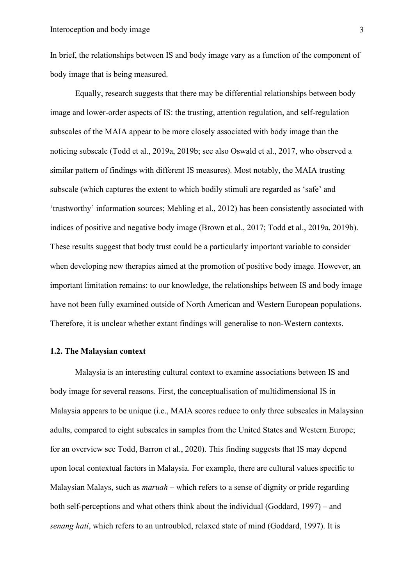In brief, the relationships between IS and body image vary as a function of the component of body image that is being measured.

Equally, research suggests that there may be differential relationships between body image and lower-order aspects of IS: the trusting, attention regulation, and self-regulation subscales of the MAIA appear to be more closely associated with body image than the noticing subscale (Todd et al., 2019a, 2019b; see also Oswald et al., 2017, who observed a similar pattern of findings with different IS measures). Most notably, the MAIA trusting subscale (which captures the extent to which bodily stimuli are regarded as 'safe' and 'trustworthy' information sources; Mehling et al., 2012) has been consistently associated with indices of positive and negative body image (Brown et al., 2017; Todd et al., 2019a, 2019b). These results suggest that body trust could be a particularly important variable to consider when developing new therapies aimed at the promotion of positive body image. However, an important limitation remains: to our knowledge, the relationships between IS and body image have not been fully examined outside of North American and Western European populations. Therefore, it is unclear whether extant findings will generalise to non-Western contexts.

#### **1.2. The Malaysian context**

Malaysia is an interesting cultural context to examine associations between IS and body image for several reasons. First, the conceptualisation of multidimensional IS in Malaysia appears to be unique (i.e., MAIA scores reduce to only three subscales in Malaysian adults, compared to eight subscales in samples from the United States and Western Europe; for an overview see Todd, Barron et al., 2020). This finding suggests that IS may depend upon local contextual factors in Malaysia. For example, there are cultural values specific to Malaysian Malays, such as *maruah* – which refers to a sense of dignity or pride regarding both self-perceptions and what others think about the individual (Goddard, 1997) – and *senang hati*, which refers to an untroubled, relaxed state of mind (Goddard, 1997). It is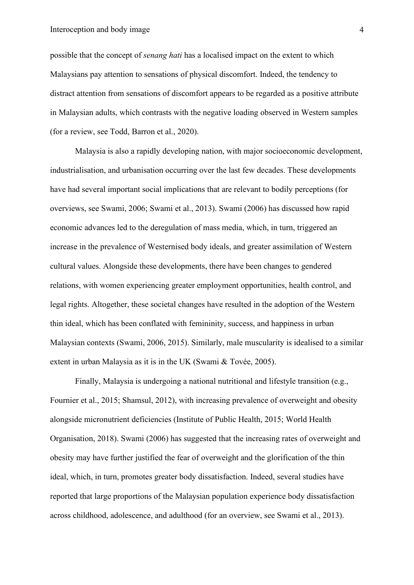possible that the concept of *senang hati* has a localised impact on the extent to which Malaysians pay attention to sensations of physical discomfort. Indeed, the tendency to distract attention from sensations of discomfort appears to be regarded as a positive attribute in Malaysian adults, which contrasts with the negative loading observed in Western samples (for a review, see Todd, Barron et al., 2020).

Malaysia is also a rapidly developing nation, with major socioeconomic development, industrialisation, and urbanisation occurring over the last few decades. These developments have had several important social implications that are relevant to bodily perceptions (for overviews, see Swami, 2006; Swami et al., 2013). Swami (2006) has discussed how rapid economic advances led to the deregulation of mass media, which, in turn, triggered an increase in the prevalence of Westernised body ideals, and greater assimilation of Western cultural values. Alongside these developments, there have been changes to gendered relations, with women experiencing greater employment opportunities, health control, and legal rights. Altogether, these societal changes have resulted in the adoption of the Western thin ideal, which has been conflated with femininity, success, and happiness in urban Malaysian contexts (Swami, 2006, 2015). Similarly, male muscularity is idealised to a similar extent in urban Malaysia as it is in the UK (Swami & Tovée, 2005).

Finally, Malaysia is undergoing a national nutritional and lifestyle transition (e.g., Fournier et al., 2015; Shamsul, 2012), with increasing prevalence of overweight and obesity alongside micronutrient deficiencies (Institute of Public Health, 2015; World Health Organisation, 2018). Swami (2006) has suggested that the increasing rates of overweight and obesity may have further justified the fear of overweight and the glorification of the thin ideal, which, in turn, promotes greater body dissatisfaction. Indeed, several studies have reported that large proportions of the Malaysian population experience body dissatisfaction across childhood, adolescence, and adulthood (for an overview, see Swami et al., 2013).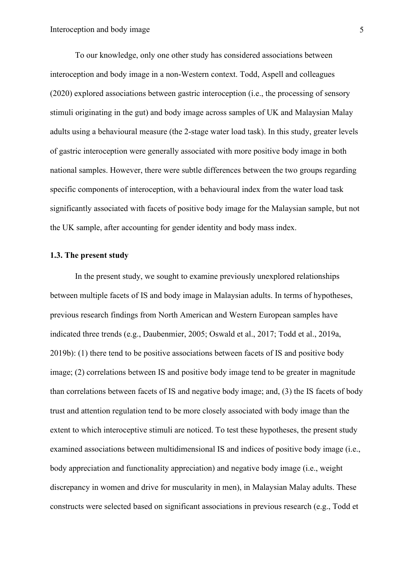To our knowledge, only one other study has considered associations between interoception and body image in a non-Western context. Todd, Aspell and colleagues (2020) explored associations between gastric interoception (i.e., the processing of sensory stimuli originating in the gut) and body image across samples of UK and Malaysian Malay adults using a behavioural measure (the 2-stage water load task). In this study, greater levels of gastric interoception were generally associated with more positive body image in both national samples. However, there were subtle differences between the two groups regarding specific components of interoception, with a behavioural index from the water load task significantly associated with facets of positive body image for the Malaysian sample, but not the UK sample, after accounting for gender identity and body mass index.

### **1.3. The present study**

In the present study, we sought to examine previously unexplored relationships between multiple facets of IS and body image in Malaysian adults. In terms of hypotheses, previous research findings from North American and Western European samples have indicated three trends (e.g., Daubenmier, 2005; Oswald et al., 2017; Todd et al., 2019a, 2019b): (1) there tend to be positive associations between facets of IS and positive body image; (2) correlations between IS and positive body image tend to be greater in magnitude than correlations between facets of IS and negative body image; and, (3) the IS facets of body trust and attention regulation tend to be more closely associated with body image than the extent to which interoceptive stimuli are noticed. To test these hypotheses, the present study examined associations between multidimensional IS and indices of positive body image (i.e., body appreciation and functionality appreciation) and negative body image (i.e., weight discrepancy in women and drive for muscularity in men), in Malaysian Malay adults. These constructs were selected based on significant associations in previous research (e.g., Todd et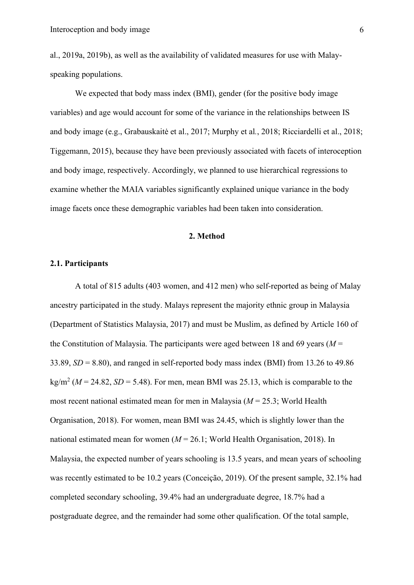al., 2019a, 2019b), as well as the availability of validated measures for use with Malayspeaking populations.

We expected that body mass index (BMI), gender (for the positive body image variables) and age would account for some of the variance in the relationships between IS and body image (e.g., Grabauskaitė et al., 2017; Murphy et al*.*, 2018; Ricciardelli et al., 2018; Tiggemann, 2015), because they have been previously associated with facets of interoception and body image, respectively. Accordingly, we planned to use hierarchical regressions to examine whether the MAIA variables significantly explained unique variance in the body image facets once these demographic variables had been taken into consideration.

#### **2. Method**

#### **2.1. Participants**

A total of 815 adults (403 women, and 412 men) who self-reported as being of Malay ancestry participated in the study. Malays represent the majority ethnic group in Malaysia (Department of Statistics Malaysia, 2017) and must be Muslim, as defined by Article 160 of the Constitution of Malaysia. The participants were aged between 18 and 69 years ( $M =$ 33.89,  $SD = 8.80$ , and ranged in self-reported body mass index (BMI) from 13.26 to 49.86  $kg/m^2$  ( $M = 24.82$ ,  $SD = 5.48$ ). For men, mean BMI was 25.13, which is comparable to the most recent national estimated mean for men in Malaysia (*M* = 25.3; World Health Organisation, 2018). For women, mean BMI was 24.45, which is slightly lower than the national estimated mean for women (*M* = 26.1; World Health Organisation, 2018). In Malaysia, the expected number of years schooling is 13.5 years, and mean years of schooling was recently estimated to be 10.2 years (Conceição, 2019). Of the present sample, 32.1% had completed secondary schooling, 39.4% had an undergraduate degree, 18.7% had a postgraduate degree, and the remainder had some other qualification. Of the total sample,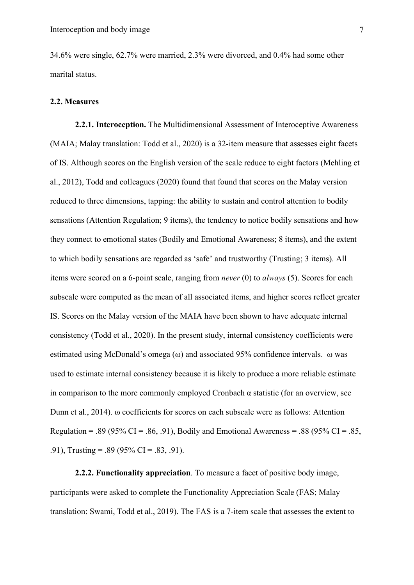34.6% were single, 62.7% were married, 2.3% were divorced, and 0.4% had some other marital status.

#### **2.2. Measures**

**2.2.1. Interoception.** The Multidimensional Assessment of Interoceptive Awareness (MAIA; Malay translation: Todd et al., 2020) is a 32-item measure that assesses eight facets of IS. Although scores on the English version of the scale reduce to eight factors (Mehling et al., 2012), Todd and colleagues (2020) found that found that scores on the Malay version reduced to three dimensions, tapping: the ability to sustain and control attention to bodily sensations (Attention Regulation; 9 items), the tendency to notice bodily sensations and how they connect to emotional states (Bodily and Emotional Awareness; 8 items), and the extent to which bodily sensations are regarded as 'safe' and trustworthy (Trusting; 3 items). All items were scored on a 6-point scale, ranging from *never* (0) to *always* (5). Scores for each subscale were computed as the mean of all associated items, and higher scores reflect greater IS. Scores on the Malay version of the MAIA have been shown to have adequate internal consistency (Todd et al., 2020). In the present study, internal consistency coefficients were estimated using McDonald's omega (ω) and associated 95% confidence intervals. ω was used to estimate internal consistency because it is likely to produce a more reliable estimate in comparison to the more commonly employed Cronbach  $\alpha$  statistic (for an overview, see Dunn et al., 2014). ω coefficients for scores on each subscale were as follows: Attention Regulation = .89 (95% CI = .86, .91), Bodily and Emotional Awareness = .88 (95% CI = .85, .91), Trusting = .89 (95% CI = .83, .91).

**2.2.2. Functionality appreciation**. To measure a facet of positive body image, participants were asked to complete the Functionality Appreciation Scale (FAS; Malay translation: Swami, Todd et al., 2019). The FAS is a 7-item scale that assesses the extent to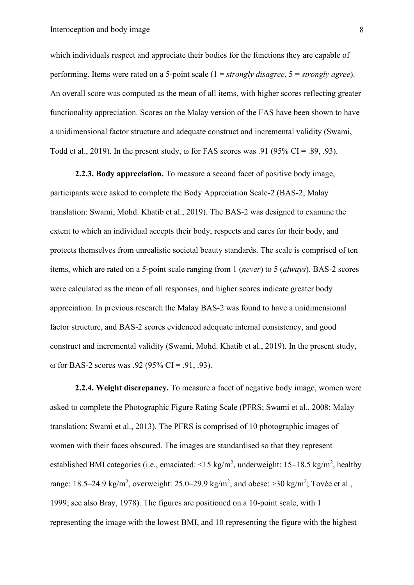which individuals respect and appreciate their bodies for the functions they are capable of performing. Items were rated on a 5-point scale (1 = *strongly disagree*, 5 = *strongly agree*). An overall score was computed as the mean of all items, with higher scores reflecting greater functionality appreciation. Scores on the Malay version of the FAS have been shown to have a unidimensional factor structure and adequate construct and incremental validity (Swami, Todd et al., 2019). In the present study,  $\omega$  for FAS scores was .91 (95% CI = .89, .93).

**2.2.3. Body appreciation.** To measure a second facet of positive body image, participants were asked to complete the Body Appreciation Scale-2 (BAS-2; Malay translation: Swami, Mohd. Khatib et al., 2019). The BAS-2 was designed to examine the extent to which an individual accepts their body, respects and cares for their body, and protects themselves from unrealistic societal beauty standards. The scale is comprised of ten items, which are rated on a 5-point scale ranging from 1 (*never*) to 5 (*always*). BAS-2 scores were calculated as the mean of all responses, and higher scores indicate greater body appreciation. In previous research the Malay BAS-2 was found to have a unidimensional factor structure, and BAS-2 scores evidenced adequate internal consistency, and good construct and incremental validity (Swami, Mohd. Khatib et al., 2019). In the present study, ω for BAS-2 scores was .92 (95% CI = .91, .93).

**2.2.4. Weight discrepancy.** To measure a facet of negative body image, women were asked to complete the Photographic Figure Rating Scale (PFRS; Swami et al., 2008; Malay translation: Swami et al., 2013). The PFRS is comprised of 10 photographic images of women with their faces obscured. The images are standardised so that they represent established BMI categories (i.e., emaciated:  $\leq 15 \text{ kg/m}^2$ , underweight: 15–18.5 kg/m<sup>2</sup>, healthy range: 18.5–24.9 kg/m<sup>2</sup>, overweight: 25.0–29.9 kg/m<sup>2</sup>, and obese: >30 kg/m<sup>2</sup>; Tovée et al., 1999; see also Bray, 1978). The figures are positioned on a 10-point scale, with 1 representing the image with the lowest BMI, and 10 representing the figure with the highest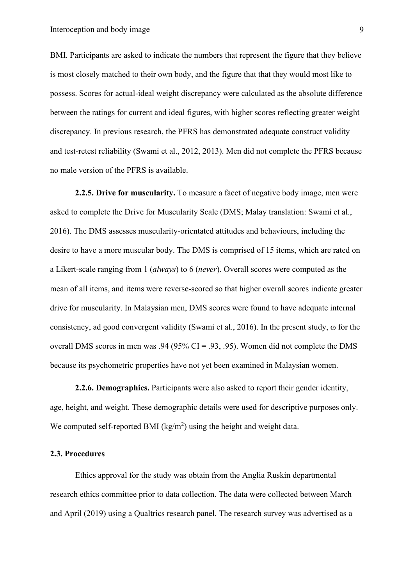BMI. Participants are asked to indicate the numbers that represent the figure that they believe is most closely matched to their own body, and the figure that that they would most like to possess. Scores for actual-ideal weight discrepancy were calculated as the absolute difference between the ratings for current and ideal figures, with higher scores reflecting greater weight discrepancy. In previous research, the PFRS has demonstrated adequate construct validity and test-retest reliability (Swami et al., 2012, 2013). Men did not complete the PFRS because no male version of the PFRS is available.

**2.2.5. Drive for muscularity.** To measure a facet of negative body image, men were asked to complete the Drive for Muscularity Scale (DMS; Malay translation: Swami et al., 2016). The DMS assesses muscularity-orientated attitudes and behaviours, including the desire to have a more muscular body. The DMS is comprised of 15 items, which are rated on a Likert-scale ranging from 1 (*always*) to 6 (*never*). Overall scores were computed as the mean of all items, and items were reverse-scored so that higher overall scores indicate greater drive for muscularity. In Malaysian men, DMS scores were found to have adequate internal consistency, ad good convergent validity (Swami et al., 2016). In the present study, ω for the overall DMS scores in men was .94 (95%  $CI = .93, .95$ ). Women did not complete the DMS because its psychometric properties have not yet been examined in Malaysian women.

**2.2.6. Demographics.** Participants were also asked to report their gender identity, age, height, and weight. These demographic details were used for descriptive purposes only. We computed self-reported BMI ( $\text{kg/m}^2$ ) using the height and weight data.

#### **2.3. Procedures**

Ethics approval for the study was obtain from the Anglia Ruskin departmental research ethics committee prior to data collection. The data were collected between March and April (2019) using a Qualtrics research panel. The research survey was advertised as a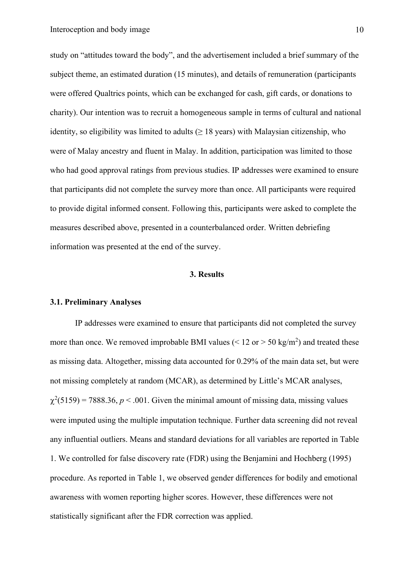study on "attitudes toward the body", and the advertisement included a brief summary of the subject theme, an estimated duration (15 minutes), and details of remuneration (participants were offered Qualtrics points, which can be exchanged for cash, gift cards, or donations to charity). Our intention was to recruit a homogeneous sample in terms of cultural and national identity, so eligibility was limited to adults  $(≥ 18 \text{ years})$  with Malaysian citizenship, who were of Malay ancestry and fluent in Malay. In addition, participation was limited to those who had good approval ratings from previous studies. IP addresses were examined to ensure that participants did not complete the survey more than once. All participants were required to provide digital informed consent. Following this, participants were asked to complete the measures described above, presented in a counterbalanced order. Written debriefing information was presented at the end of the survey.

#### **3. Results**

#### **3.1. Preliminary Analyses**

IP addresses were examined to ensure that participants did not completed the survey more than once. We removed improbable BMI values ( $\leq 12$  or  $> 50$  kg/m<sup>2</sup>) and treated these as missing data. Altogether, missing data accounted for 0.29% of the main data set, but were not missing completely at random (MCAR), as determined by Little's MCAR analyses,  $\chi^2$ (5159) = 7888.36, *p* < .001. Given the minimal amount of missing data, missing values were imputed using the multiple imputation technique. Further data screening did not reveal any influential outliers. Means and standard deviations for all variables are reported in Table 1. We controlled for false discovery rate (FDR) using the Benjamini and Hochberg (1995) procedure. As reported in Table 1, we observed gender differences for bodily and emotional awareness with women reporting higher scores. However, these differences were not statistically significant after the FDR correction was applied.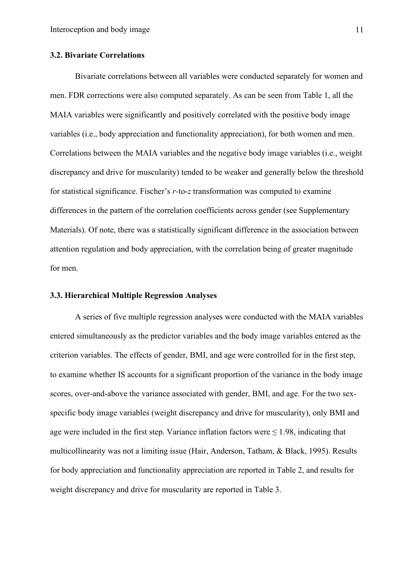#### **3.2. Bivariate Correlations**

Bivariate correlations between all variables were conducted separately for women and men. FDR corrections were also computed separately. As can be seen from Table 1, all the MAIA variables were significantly and positively correlated with the positive body image variables (i.e., body appreciation and functionality appreciation), for both women and men. Correlations between the MAIA variables and the negative body image variables (i.e., weight discrepancy and drive for muscularity) tended to be weaker and generally below the threshold for statistical significance. Fischer's *r-*to-*z* transformation was computed to examine differences in the pattern of the correlation coefficients across gender (see Supplementary Materials). Of note, there was a statistically significant difference in the association between attention regulation and body appreciation, with the correlation being of greater magnitude for men.

#### **3.3. Hierarchical Multiple Regression Analyses**

A series of five multiple regression analyses were conducted with the MAIA variables entered simultaneously as the predictor variables and the body image variables entered as the criterion variables. The effects of gender, BMI, and age were controlled for in the first step, to examine whether IS accounts for a significant proportion of the variance in the body image scores, over-and-above the variance associated with gender, BMI, and age. For the two sexspecific body image variables (weight discrepancy and drive for muscularity), only BMI and age were included in the first step. Variance inflation factors were  $\leq$  1.98, indicating that multicollinearity was not a limiting issue (Hair, Anderson, Tatham, & Black, 1995). Results for body appreciation and functionality appreciation are reported in Table 2, and results for weight discrepancy and drive for muscularity are reported in Table 3.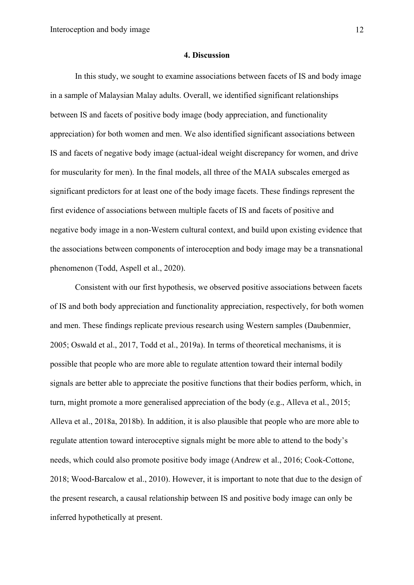#### **4. Discussion**

In this study, we sought to examine associations between facets of IS and body image in a sample of Malaysian Malay adults. Overall, we identified significant relationships between IS and facets of positive body image (body appreciation, and functionality appreciation) for both women and men. We also identified significant associations between IS and facets of negative body image (actual-ideal weight discrepancy for women, and drive for muscularity for men). In the final models, all three of the MAIA subscales emerged as significant predictors for at least one of the body image facets. These findings represent the first evidence of associations between multiple facets of IS and facets of positive and negative body image in a non-Western cultural context, and build upon existing evidence that the associations between components of interoception and body image may be a transnational phenomenon (Todd, Aspell et al., 2020).

Consistent with our first hypothesis, we observed positive associations between facets of IS and both body appreciation and functionality appreciation, respectively, for both women and men. These findings replicate previous research using Western samples (Daubenmier, 2005; Oswald et al., 2017, Todd et al., 2019a). In terms of theoretical mechanisms, it is possible that people who are more able to regulate attention toward their internal bodily signals are better able to appreciate the positive functions that their bodies perform, which, in turn, might promote a more generalised appreciation of the body (e.g., Alleva et al., 2015; Alleva et al., 2018a, 2018b). In addition, it is also plausible that people who are more able to regulate attention toward interoceptive signals might be more able to attend to the body's needs, which could also promote positive body image (Andrew et al., 2016; Cook-Cottone, 2018; Wood-Barcalow et al., 2010). However, it is important to note that due to the design of the present research, a causal relationship between IS and positive body image can only be inferred hypothetically at present.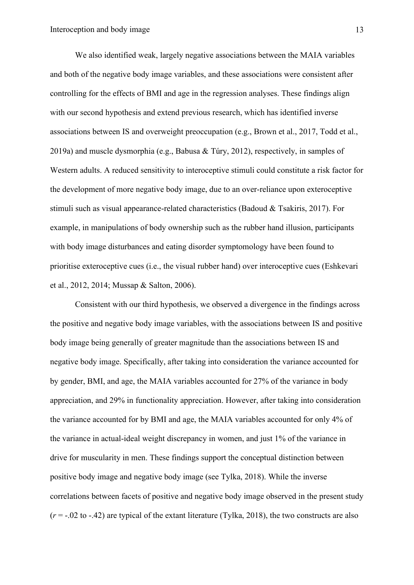We also identified weak, largely negative associations between the MAIA variables and both of the negative body image variables, and these associations were consistent after controlling for the effects of BMI and age in the regression analyses. These findings align with our second hypothesis and extend previous research, which has identified inverse associations between IS and overweight preoccupation (e.g., Brown et al., 2017, Todd et al., 2019a) and muscle dysmorphia (e.g., Babusa & Túry, 2012), respectively, in samples of Western adults. A reduced sensitivity to interoceptive stimuli could constitute a risk factor for the development of more negative body image, due to an over-reliance upon exteroceptive stimuli such as visual appearance-related characteristics (Badoud & Tsakiris, 2017). For example, in manipulations of body ownership such as the rubber hand illusion, participants with body image disturbances and eating disorder symptomology have been found to prioritise exteroceptive cues (i.e., the visual rubber hand) over interoceptive cues (Eshkevari et al., 2012, 2014; Mussap & Salton, 2006).

Consistent with our third hypothesis, we observed a divergence in the findings across the positive and negative body image variables, with the associations between IS and positive body image being generally of greater magnitude than the associations between IS and negative body image. Specifically, after taking into consideration the variance accounted for by gender, BMI, and age, the MAIA variables accounted for 27% of the variance in body appreciation, and 29% in functionality appreciation. However, after taking into consideration the variance accounted for by BMI and age, the MAIA variables accounted for only 4% of the variance in actual-ideal weight discrepancy in women, and just 1% of the variance in drive for muscularity in men. These findings support the conceptual distinction between positive body image and negative body image (see Tylka, 2018). While the inverse correlations between facets of positive and negative body image observed in the present study  $(r = -.02$  to  $-.42)$  are typical of the extant literature (Tylka, 2018), the two constructs are also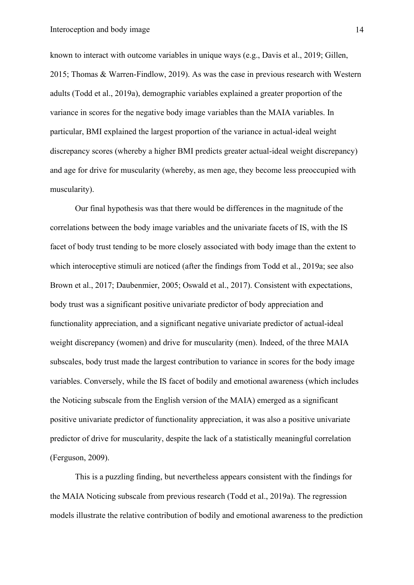known to interact with outcome variables in unique ways (e.g., Davis et al., 2019; Gillen, 2015; Thomas & Warren-Findlow, 2019). As was the case in previous research with Western adults (Todd et al., 2019a), demographic variables explained a greater proportion of the variance in scores for the negative body image variables than the MAIA variables. In particular, BMI explained the largest proportion of the variance in actual-ideal weight discrepancy scores (whereby a higher BMI predicts greater actual-ideal weight discrepancy) and age for drive for muscularity (whereby, as men age, they become less preoccupied with muscularity).

Our final hypothesis was that there would be differences in the magnitude of the correlations between the body image variables and the univariate facets of IS, with the IS facet of body trust tending to be more closely associated with body image than the extent to which interoceptive stimuli are noticed (after the findings from Todd et al., 2019a; see also Brown et al., 2017; Daubenmier, 2005; Oswald et al., 2017). Consistent with expectations, body trust was a significant positive univariate predictor of body appreciation and functionality appreciation, and a significant negative univariate predictor of actual-ideal weight discrepancy (women) and drive for muscularity (men). Indeed, of the three MAIA subscales, body trust made the largest contribution to variance in scores for the body image variables. Conversely, while the IS facet of bodily and emotional awareness (which includes the Noticing subscale from the English version of the MAIA) emerged as a significant positive univariate predictor of functionality appreciation, it was also a positive univariate predictor of drive for muscularity, despite the lack of a statistically meaningful correlation (Ferguson, 2009).

This is a puzzling finding, but nevertheless appears consistent with the findings for the MAIA Noticing subscale from previous research (Todd et al., 2019a). The regression models illustrate the relative contribution of bodily and emotional awareness to the prediction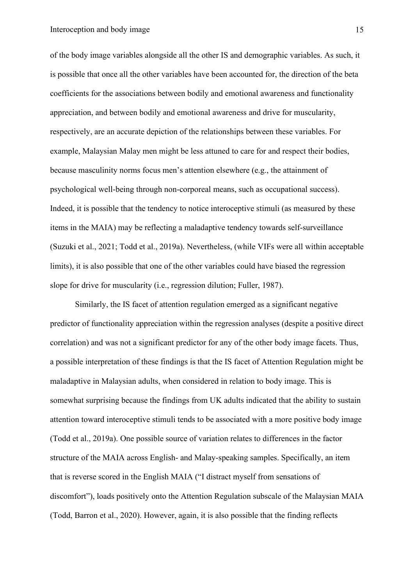of the body image variables alongside all the other IS and demographic variables. As such, it is possible that once all the other variables have been accounted for, the direction of the beta coefficients for the associations between bodily and emotional awareness and functionality appreciation, and between bodily and emotional awareness and drive for muscularity, respectively, are an accurate depiction of the relationships between these variables. For example, Malaysian Malay men might be less attuned to care for and respect their bodies, because masculinity norms focus men's attention elsewhere (e.g., the attainment of psychological well-being through non-corporeal means, such as occupational success). Indeed, it is possible that the tendency to notice interoceptive stimuli (as measured by these items in the MAIA) may be reflecting a maladaptive tendency towards self-surveillance (Suzuki et al., 2021; Todd et al., 2019a). Nevertheless, (while VIFs were all within acceptable limits), it is also possible that one of the other variables could have biased the regression slope for drive for muscularity (i.e., regression dilution; Fuller, 1987).

Similarly, the IS facet of attention regulation emerged as a significant negative predictor of functionality appreciation within the regression analyses (despite a positive direct correlation) and was not a significant predictor for any of the other body image facets. Thus, a possible interpretation of these findings is that the IS facet of Attention Regulation might be maladaptive in Malaysian adults, when considered in relation to body image. This is somewhat surprising because the findings from UK adults indicated that the ability to sustain attention toward interoceptive stimuli tends to be associated with a more positive body image (Todd et al., 2019a). One possible source of variation relates to differences in the factor structure of the MAIA across English- and Malay-speaking samples. Specifically, an item that is reverse scored in the English MAIA ("I distract myself from sensations of discomfort"), loads positively onto the Attention Regulation subscale of the Malaysian MAIA (Todd, Barron et al., 2020). However, again, it is also possible that the finding reflects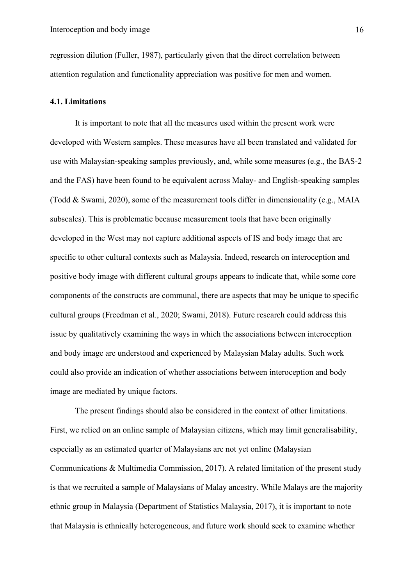regression dilution (Fuller, 1987), particularly given that the direct correlation between attention regulation and functionality appreciation was positive for men and women.

#### **4.1. Limitations**

It is important to note that all the measures used within the present work were developed with Western samples. These measures have all been translated and validated for use with Malaysian-speaking samples previously, and, while some measures (e.g., the BAS-2 and the FAS) have been found to be equivalent across Malay- and English-speaking samples (Todd & Swami, 2020), some of the measurement tools differ in dimensionality (e.g., MAIA subscales). This is problematic because measurement tools that have been originally developed in the West may not capture additional aspects of IS and body image that are specific to other cultural contexts such as Malaysia. Indeed, research on interoception and positive body image with different cultural groups appears to indicate that, while some core components of the constructs are communal, there are aspects that may be unique to specific cultural groups (Freedman et al., 2020; Swami, 2018). Future research could address this issue by qualitatively examining the ways in which the associations between interoception and body image are understood and experienced by Malaysian Malay adults. Such work could also provide an indication of whether associations between interoception and body image are mediated by unique factors.

The present findings should also be considered in the context of other limitations. First, we relied on an online sample of Malaysian citizens, which may limit generalisability, especially as an estimated quarter of Malaysians are not yet online (Malaysian Communications & Multimedia Commission, 2017). A related limitation of the present study is that we recruited a sample of Malaysians of Malay ancestry. While Malays are the majority ethnic group in Malaysia (Department of Statistics Malaysia, 2017), it is important to note that Malaysia is ethnically heterogeneous, and future work should seek to examine whether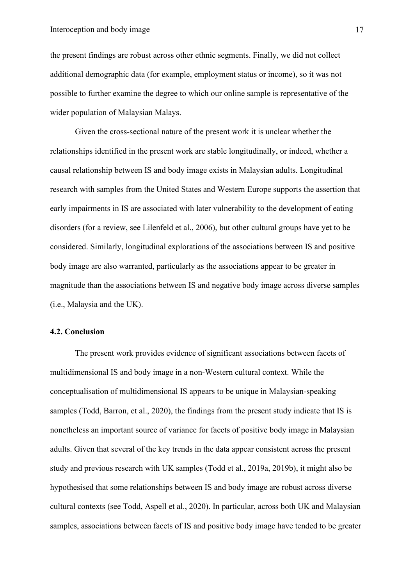the present findings are robust across other ethnic segments. Finally, we did not collect additional demographic data (for example, employment status or income), so it was not possible to further examine the degree to which our online sample is representative of the wider population of Malaysian Malays.

Given the cross-sectional nature of the present work it is unclear whether the relationships identified in the present work are stable longitudinally, or indeed, whether a causal relationship between IS and body image exists in Malaysian adults. Longitudinal research with samples from the United States and Western Europe supports the assertion that early impairments in IS are associated with later vulnerability to the development of eating disorders (for a review, see Lilenfeld et al., 2006), but other cultural groups have yet to be considered. Similarly, longitudinal explorations of the associations between IS and positive body image are also warranted, particularly as the associations appear to be greater in magnitude than the associations between IS and negative body image across diverse samples (i.e., Malaysia and the UK).

#### **4.2. Conclusion**

The present work provides evidence of significant associations between facets of multidimensional IS and body image in a non-Western cultural context. While the conceptualisation of multidimensional IS appears to be unique in Malaysian-speaking samples (Todd, Barron, et al., 2020), the findings from the present study indicate that IS is nonetheless an important source of variance for facets of positive body image in Malaysian adults. Given that several of the key trends in the data appear consistent across the present study and previous research with UK samples (Todd et al., 2019a, 2019b), it might also be hypothesised that some relationships between IS and body image are robust across diverse cultural contexts (see Todd, Aspell et al., 2020). In particular, across both UK and Malaysian samples, associations between facets of IS and positive body image have tended to be greater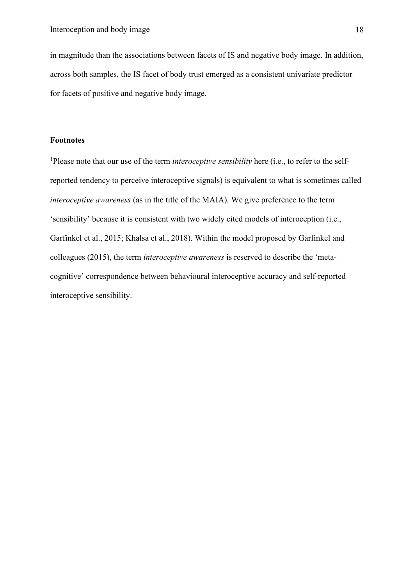in magnitude than the associations between facets of IS and negative body image. In addition, across both samples, the IS facet of body trust emerged as a consistent univariate predictor for facets of positive and negative body image.

#### **Footnotes**

<sup>1</sup>Please note that our use of the term *interoceptive sensibility* here (i.e., to refer to the selfreported tendency to perceive interoceptive signals) is equivalent to what is sometimes called *interoceptive awareness* (as in the title of the MAIA)*.* We give preference to the term 'sensibility' because it is consistent with two widely cited models of interoception (i.e., Garfinkel et al., 2015; Khalsa et al., 2018). Within the model proposed by Garfinkel and colleagues (2015), the term *interoceptive awareness* is reserved to describe the 'metacognitive' correspondence between behavioural interoceptive accuracy and self-reported interoceptive sensibility.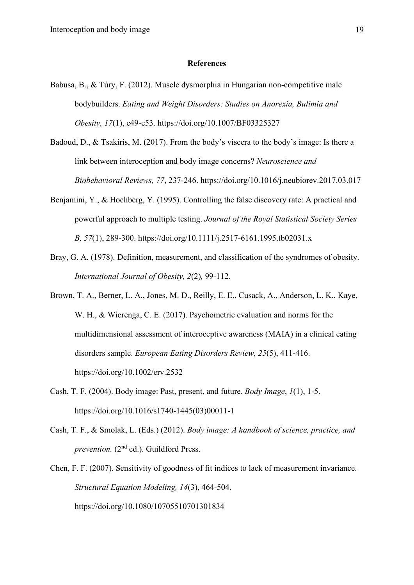#### **References**

- Babusa, B., & Túry, F. (2012). Muscle dysmorphia in Hungarian non-competitive male bodybuilders. *Eating and Weight Disorders: Studies on Anorexia, Bulimia and Obesity, 17*(1), e49-e53. https://doi.org/10.1007/BF03325327
- Badoud, D., & Tsakiris, M. (2017). From the body's viscera to the body's image: Is there a link between interoception and body image concerns? *Neuroscience and Biobehavioral Reviews, 77*, 237-246. https://doi.org/10.1016/j.neubiorev.2017.03.017
- Benjamini, Y., & Hochberg, Y. (1995). Controlling the false discovery rate: A practical and powerful approach to multiple testing. *Journal of the Royal Statistical Society Series B, 57*(1), 289-300. https://doi.org/10.1111/j.2517-6161.1995.tb02031.x
- Bray, G. A. (1978). Definition, measurement, and classification of the syndromes of obesity. *International Journal of Obesity, 2*(2)*,* 99-112.
- Brown, T. A., Berner, L. A., Jones, M. D., Reilly, E. E., Cusack, A., Anderson, L. K., Kaye, W. H., & Wierenga, C. E. (2017). Psychometric evaluation and norms for the multidimensional assessment of interoceptive awareness (MAIA) in a clinical eating disorders sample. *European Eating Disorders Review, 25*(5), 411-416. https://doi.org/10.1002/erv.2532
- Cash, T. F. (2004). Body image: Past, present, and future. *Body Image*, *1*(1), 1-5. https://doi.org/10.1016/s1740-1445(03)00011-1
- Cash, T. F., & Smolak, L. (Eds.) (2012). *Body image: A handbook of science, practice, and prevention.* (2<sup>nd</sup> ed.). Guildford Press.
- Chen, F. F. (2007). Sensitivity of goodness of fit indices to lack of measurement invariance. *Structural Equation Modeling, 14*(3), 464-504. https://doi.org/10.1080/10705510701301834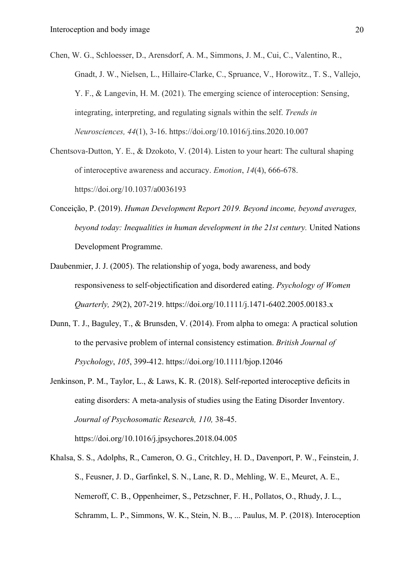Chen, W. G., Schloesser, D., Arensdorf, A. M., Simmons, J. M., Cui, C., Valentino, R., Gnadt, J. W., Nielsen, L., Hillaire-Clarke, C., Spruance, V., Horowitz., T. S., Vallejo, Y. F., & Langevin, H. M. (2021). The emerging science of interoception: Sensing, integrating, interpreting, and regulating signals within the self. *Trends in Neurosciences, 44*(1), 3-16. https://doi.org/10.1016/j.tins.2020.10.007

Chentsova-Dutton, Y. E., & Dzokoto, V. (2014). Listen to your heart: The cultural shaping of interoceptive awareness and accuracy. *Emotion*, *14*(4), 666-678. https://doi.org/10.1037/a0036193

- Conceição, P. (2019). *Human Development Report 2019. Beyond income, beyond averages, beyond today: Inequalities in human development in the 21st century.* United Nations Development Programme.
- Daubenmier, J. J. (2005). The relationship of yoga, body awareness, and body responsiveness to self‐objectification and disordered eating. *Psychology of Women Quarterly, 29*(2), 207-219. https://doi.org/10.1111/j.1471-6402.2005.00183.x
- Dunn, T. J., Baguley, T., & Brunsden, V. (2014). From alpha to omega: A practical solution to the pervasive problem of internal consistency estimation. *British Journal of Psychology*, *105*, 399-412. https://doi.org/10.1111/bjop.12046
- Jenkinson, P. M., Taylor, L., & Laws, K. R. (2018). Self-reported interoceptive deficits in eating disorders: A meta-analysis of studies using the Eating Disorder Inventory. *Journal of Psychosomatic Research, 110,* 38-45. https://doi.org/10.1016/j.jpsychores.2018.04.005
- Khalsa, S. S., Adolphs, R., Cameron, O. G., Critchley, H. D., Davenport, P. W., Feinstein, J. S., Feusner, J. D., Garfinkel, S. N., Lane, R. D., Mehling, W. E., Meuret, A. E., Nemeroff, C. B., Oppenheimer, S., Petzschner, F. H., Pollatos, O., Rhudy, J. L., Schramm, L. P., Simmons, W. K., Stein, N. B., ... Paulus, M. P. (2018). Interoception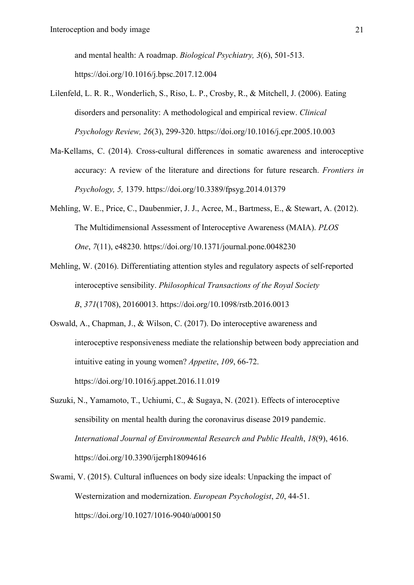and mental health: A roadmap. *Biological Psychiatry, 3*(6), 501-513. https://doi.org/10.1016/j.bpsc.2017.12.004

- Lilenfeld, L. R. R., Wonderlich, S., Riso, L. P., Crosby, R., & Mitchell, J. (2006). Eating disorders and personality: A methodological and empirical review. *Clinical Psychology Review, 26*(3), 299-320. https://doi.org/10.1016/j.cpr.2005.10.003
- Ma-Kellams, C. (2014). Cross-cultural differences in somatic awareness and interoceptive accuracy: A review of the literature and directions for future research. *Frontiers in Psychology, 5,* 1379. https://doi.org/10.3389/fpsyg.2014.01379
- Mehling, W. E., Price, C., Daubenmier, J. J., Acree, M., Bartmess, E., & Stewart, A. (2012). The Multidimensional Assessment of Interoceptive Awareness (MAIA). *PLOS One*, *7*(11), e48230. https://doi.org/10.1371/journal.pone.0048230
- Mehling, W. (2016). Differentiating attention styles and regulatory aspects of self-reported interoceptive sensibility. *Philosophical Transactions of the Royal Society B*, *371*(1708), 20160013. https://doi.org/10.1098/rstb.2016.0013
- Oswald, A., Chapman, J., & Wilson, C. (2017). Do interoceptive awareness and interoceptive responsiveness mediate the relationship between body appreciation and intuitive eating in young women? *Appetite*, *109*, 66-72. https://doi.org/10.1016/j.appet.2016.11.019
- Suzuki, N., Yamamoto, T., Uchiumi, C., & Sugaya, N. (2021). Effects of interoceptive sensibility on mental health during the coronavirus disease 2019 pandemic. *International Journal of Environmental Research and Public Health*, *18*(9), 4616. https://doi.org/10.3390/ijerph18094616
- Swami, V. (2015). Cultural influences on body size ideals: Unpacking the impact of Westernization and modernization. *European Psychologist*, *20*, 44-51. https://doi.org/10.1027/1016-9040/a000150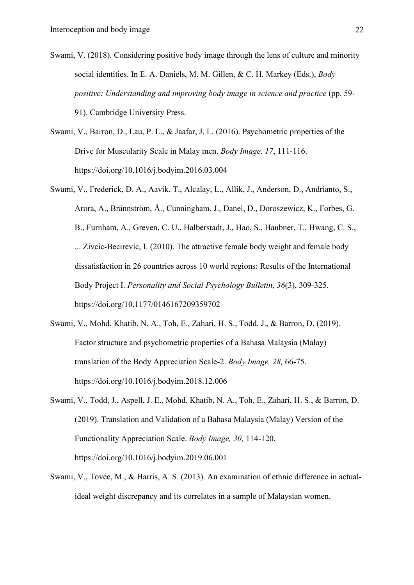- Swami, V. (2018). Considering positive body image through the lens of culture and minority social identities. In E. A. Daniels, M. M. Gillen, & C. H. Markey (Eds.), *Body positive: Understanding and improving body image in science and practice* (pp. 59- 91). Cambridge University Press.
- Swami, V., Barron, D., Lau, P. L., & Jaafar, J. L. (2016). Psychometric properties of the Drive for Muscularity Scale in Malay men. *Body Image, 17*, 111-116. https://doi.org/10.1016/j.bodyim.2016.03.004
- Swami, V., Frederick, D. A., Aavik, T., Alcalay, L., Allik, J., Anderson, D., Andrianto, S., Arora, A., Brännström, Å., Cunningham, J., Danel, D., Doroszewicz, K., Forbes, G. B., Furnham, A., Greven, C. U., Halberstadt, J., Hao, S., Haubner, T., Hwang, C. S., ... Zivcic-Becirevic, I. (2010). The attractive female body weight and female body dissatisfaction in 26 countries across 10 world regions: Results of the International Body Project I. *Personality and Social Psychology Bulletin*, *36*(3), 309-325. https://doi.org/10.1177/0146167209359702
- Swami, V., Mohd. Khatib, N. A., Toh, E., Zahari, H. S., Todd, J., & Barron, D. (2019). Factor structure and psychometric properties of a Bahasa Malaysia (Malay) translation of the Body Appreciation Scale-2. *Body Image, 28,* 66-75. https://doi.org/10.1016/j.bodyim.2018.12.006
- Swami, V., Todd, J., Aspell, J. E., Mohd. Khatib, N. A., Toh, E., Zahari, H. S., & Barron, D. (2019). Translation and Validation of a Bahasa Malaysia (Malay) Version of the Functionality Appreciation Scale. *Body Image, 30,* 114-120. https://doi.org/10.1016/j.bodyim.2019.06.001
- Swami, V., Tovée, M., & Harris, A. S. (2013). An examination of ethnic difference in actualideal weight discrepancy and its correlates in a sample of Malaysian women.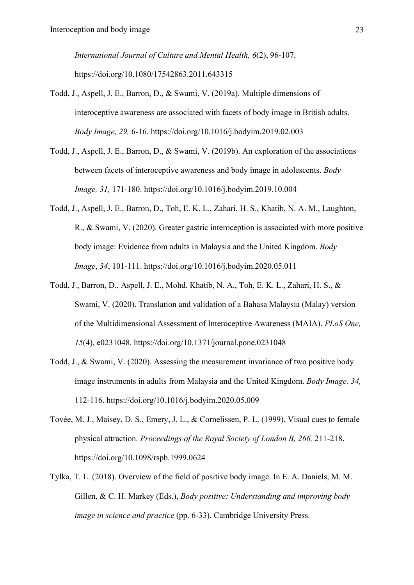*International Journal of Culture and Mental Health, 6*(2), 96-107. https://doi.org/10.1080/17542863.2011.643315

- Todd, J., Aspell, J. E., Barron, D., & Swami, V. (2019a). Multiple dimensions of interoceptive awareness are associated with facets of body image in British adults. *Body Image, 29,* 6-16. https://doi.org/10.1016/j.bodyim.2019.02.003
- Todd, J., Aspell, J. E., Barron, D., & Swami, V. (2019b). An exploration of the associations between facets of interoceptive awareness and body image in adolescents. *Body Image, 31,* 171-180. https://doi.org/10.1016/j.bodyim.2019.10.004
- Todd, J., Aspell, J. E., Barron, D., Toh, E. K. L., Zahari, H. S., Khatib, N. A. M., Laughton, R., & Swami, V. (2020). Greater gastric interoception is associated with more positive body image: Evidence from adults in Malaysia and the United Kingdom. *Body Image*, *34*, 101-111. https://doi.org/10.1016/j.bodyim.2020.05.011
- Todd, J., Barron, D., Aspell, J. E., Mohd. Khatib, N. A., Toh, E. K. L., Zahari, H. S., & Swami, V. (2020). Translation and validation of a Bahasa Malaysia (Malay) version of the Multidimensional Assessment of Interoceptive Awareness (MAIA). *PLoS One, 15*(4), e0231048. https://doi.org/10.1371/journal.pone.0231048
- Todd, J., & Swami, V. (2020). Assessing the measurement invariance of two positive body image instruments in adults from Malaysia and the United Kingdom. *Body Image, 34,*  112-116. https://doi.org/10.1016/j.bodyim.2020.05.009
- Tovée, M. J., Maisey, D. S., Emery, J. L., & Cornelissen, P. L. (1999). Visual cues to female physical attraction. *Proceedings of the Royal Society of London B, 266,* 211-218. https://doi.org/10.1098/rspb.1999.0624
- Tylka, T. L. (2018). Overview of the field of positive body image. In E. A. Daniels, M. M. Gillen, & C. H. Markey (Eds.), *Body positive: Understanding and improving body image in science and practice* (pp. 6-33). Cambridge University Press.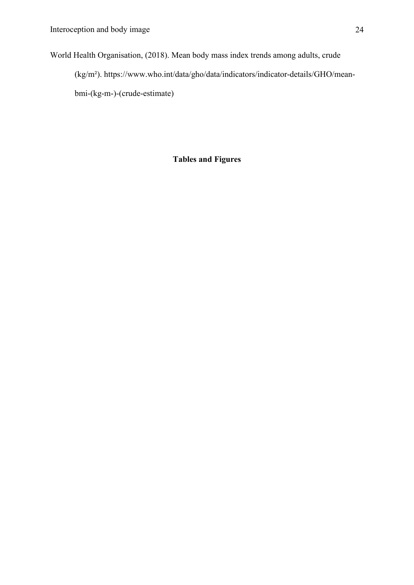World Health Organisation, (2018). Mean body mass index trends among adults, crude (kg/m²). https://www.who.int/data/gho/data/indicators/indicator-details/GHO/meanbmi-(kg-m-)-(crude-estimate)

**Tables and Figures**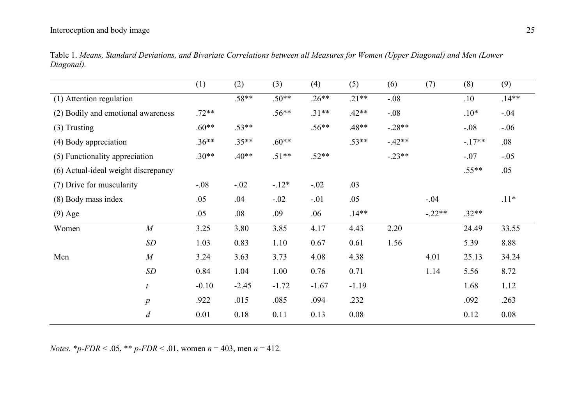## Interoception and body image 25

|                                     |                  | (1)     | (2)     | (3)     | (4)     | (5)     | (6)      | (7)      | (8)      | (9)      |
|-------------------------------------|------------------|---------|---------|---------|---------|---------|----------|----------|----------|----------|
| (1) Attention regulation            |                  |         | $.58**$ | $.50**$ | $.26**$ | $.21**$ | $-.08$   |          | .10      | $.14***$ |
| (2) Bodily and emotional awareness  |                  | $.72**$ |         | $.56**$ | $.31**$ | $.42**$ | $-.08$   |          | $.10*$   | $-.04$   |
| $(3)$ Trusting                      |                  | $.60**$ | $.53**$ |         | $.56**$ | $.48**$ | $-.28**$ |          | $-.08$   | $-.06$   |
| (4) Body appreciation               |                  | $.36**$ | $.35**$ | $.60**$ |         | $.53**$ | $-42**$  |          | $-.17**$ | .08      |
| (5) Functionality appreciation      |                  | $.30**$ | $.40**$ | $.51**$ | $.52**$ |         | $-.23**$ |          | $-.07$   | $-.05$   |
| (6) Actual-ideal weight discrepancy |                  |         |         |         |         |         |          | $.55**$  | .05      |          |
| (7) Drive for muscularity           |                  | $-.08$  | $-.02$  | $-12*$  | $-.02$  | .03     |          |          |          |          |
| (8) Body mass index                 |                  | .05     | .04     | $-.02$  | $-.01$  | .05     |          | $-.04$   |          | $.11*$   |
| $(9)$ Age                           |                  | .05     | .08     | .09     | .06     | $.14**$ |          | $-.22**$ | $.32**$  |          |
| Women                               | $\overline{M}$   | 3.25    | 3.80    | 3.85    | 4.17    | 4.43    | 2.20     |          | 24.49    | 33.55    |
|                                     | SD               | 1.03    | 0.83    | 1.10    | 0.67    | 0.61    | 1.56     |          | 5.39     | 8.88     |
| Men                                 | M                | 3.24    | 3.63    | 3.73    | 4.08    | 4.38    |          | 4.01     | 25.13    | 34.24    |
|                                     | SD               | 0.84    | 1.04    | 1.00    | 0.76    | 0.71    |          | 1.14     | 5.56     | 8.72     |
|                                     | $\boldsymbol{t}$ | $-0.10$ | $-2.45$ | $-1.72$ | $-1.67$ | $-1.19$ |          |          | 1.68     | 1.12     |
|                                     | $\boldsymbol{p}$ | .922    | .015    | .085    | .094    | .232    |          |          | .092     | .263     |
|                                     | d                | 0.01    | 0.18    | 0.11    | 0.13    | 0.08    |          |          | 0.12     | 0.08     |

Table 1. *Means, Standard Deviations, and Bivariate Correlations between all Measures for Women (Upper Diagonal) and Men (Lower Diagonal).*

*Notes.* \**p-FDR* < .05, \*\* *p-FDR* < .01, women *n* = 403, men *n* = 412*.*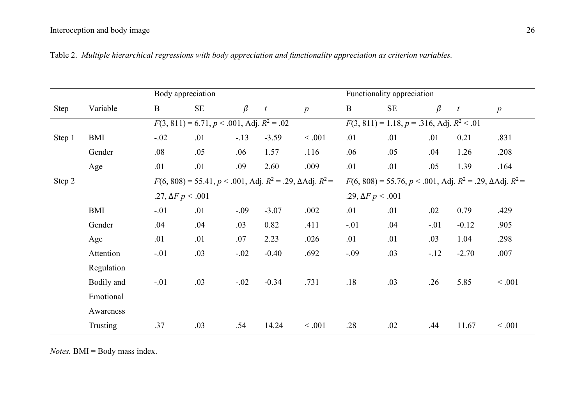|        |            | Body appreciation                                                              |                          |         |                                                                                | Functionality appreciation |                                                     |                          |         |                  |                  |  |
|--------|------------|--------------------------------------------------------------------------------|--------------------------|---------|--------------------------------------------------------------------------------|----------------------------|-----------------------------------------------------|--------------------------|---------|------------------|------------------|--|
| Step   | Variable   | $\mathbf{B}$                                                                   | $\rm SE$                 | $\beta$ | $\boldsymbol{t}$                                                               | $\boldsymbol{p}$           | $\mathbf{B}$                                        | $\rm SE$                 | $\beta$ | $\boldsymbol{t}$ | $\boldsymbol{p}$ |  |
|        |            | $F(3, 811) = 6.71, p < .001, \text{Adj}. R^2 = .02$                            |                          |         |                                                                                |                            | $F(3, 811) = 1.18, p = .316, \text{Adj}. R^2 < .01$ |                          |         |                  |                  |  |
| Step 1 | <b>BMI</b> | $-.02$                                                                         | .01                      | $-.13$  | $-3.59$                                                                        | < .001                     | .01                                                 | .01                      | .01     | 0.21             | .831             |  |
|        | Gender     | .08                                                                            | .05                      | .06     | 1.57                                                                           | .116                       | .06                                                 | .05                      | .04     | 1.26             | .208             |  |
|        | Age        | .01                                                                            | .01                      | .09     | 2.60                                                                           | .009                       | .01                                                 | .01                      | .05     | 1.39             | .164             |  |
| Step 2 |            | $F(6, 808) = 55.41, p < .001, \text{Adj}. R^2 = .29, \Delta \text{Adj}. R^2 =$ |                          |         | $F(6, 808) = 55.76, p < .001, \text{Adj}. R^2 = .29, \Delta \text{Adj}. R^2 =$ |                            |                                                     |                          |         |                  |                  |  |
|        |            |                                                                                | .27, $\Delta F p < .001$ |         |                                                                                |                            |                                                     | .29, $\Delta F p < .001$ |         |                  |                  |  |
|        | BMI        | $-.01$                                                                         | .01                      | $-.09$  | $-3.07$                                                                        | .002                       | .01                                                 | .01                      | .02     | 0.79             | .429             |  |
|        | Gender     | .04                                                                            | .04                      | .03     | 0.82                                                                           | .411                       | $-.01$                                              | .04                      | $-.01$  | $-0.12$          | .905             |  |
|        | Age        | .01                                                                            | .01                      | .07     | 2.23                                                                           | .026                       | .01                                                 | .01                      | .03     | 1.04             | .298             |  |
|        | Attention  | $-.01$                                                                         | .03                      | $-.02$  | $-0.40$                                                                        | .692                       | $-.09$                                              | .03                      | $-.12$  | $-2.70$          | .007             |  |
|        | Regulation |                                                                                |                          |         |                                                                                |                            |                                                     |                          |         |                  |                  |  |
|        | Bodily and | $-.01$                                                                         | .03                      | $-.02$  | $-0.34$                                                                        | .731                       | .18                                                 | .03                      | .26     | 5.85             | < .001           |  |
|        | Emotional  |                                                                                |                          |         |                                                                                |                            |                                                     |                          |         |                  |                  |  |
|        | Awareness  |                                                                                |                          |         |                                                                                |                            |                                                     |                          |         |                  |                  |  |
|        | Trusting   | .37                                                                            | .03                      | .54     | 14.24                                                                          | < .001                     | .28                                                 | .02                      | .44     | 11.67            | < .001           |  |

Table 2. *Multiple hierarchical regressions with body appreciation and functionality appreciation as criterion variables.*

*Notes.* BMI = Body mass index.